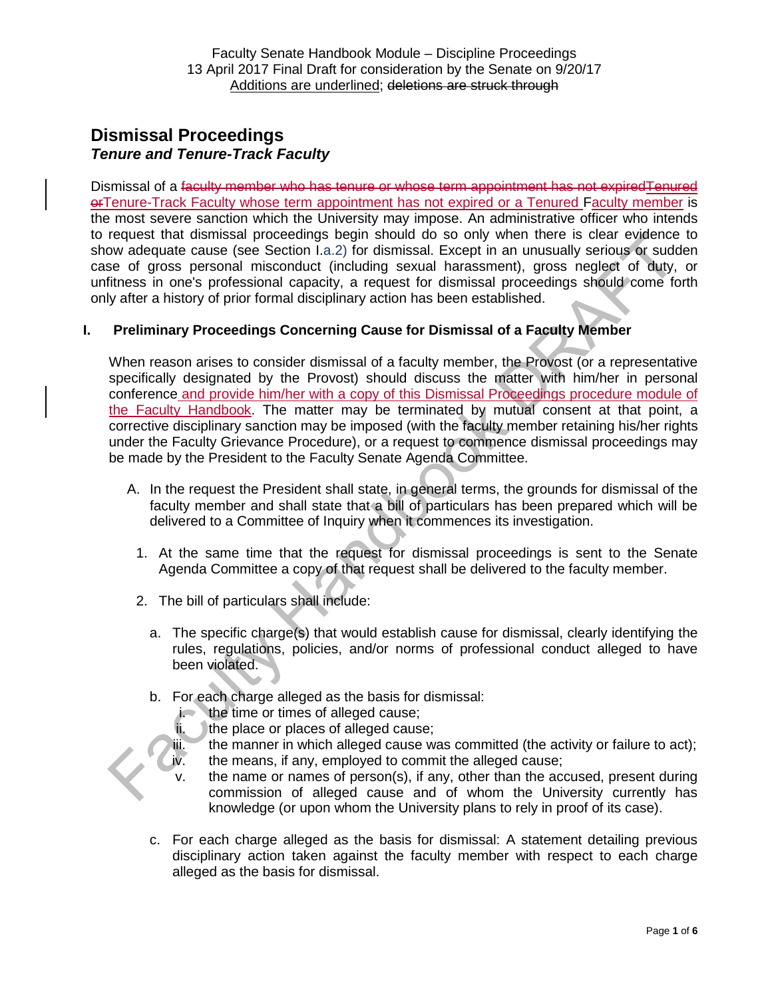# **Dismissal Proceedings** *Tenure and Tenure-Track Faculty*

Dismissal of a faculty member who has tenure or whose term appointment has not expiredTenured orTenure-Track Faculty whose term appointment has not expired or a Tenured Faculty member is the most severe sanction which the University may impose. An administrative officer who intends to request that dismissal proceedings begin should do so only when there is clear evidence to show adequate cause (see Section I.a.2) for dismissal. Except in an unusually serious or sudden case of gross personal misconduct (including sexual harassment), gross neglect of duty, or unfitness in one's professional capacity, a request for dismissal proceedings should come forth only after a history of prior formal disciplinary action has been established.

# **I. Preliminary Proceedings Concerning Cause for Dismissal of a Faculty Member**

When reason arises to consider dismissal of a faculty member, the Provost (or a representative specifically designated by the Provost) should discuss the matter with him/her in personal conference and provide him/her with a copy of this Dismissal Proceedings procedure module of the Faculty Handbook. The matter may be terminated by mutual consent at that point, a corrective disciplinary sanction may be imposed (with the faculty member retaining his/her rights under the Faculty Grievance Procedure), or a request to commence dismissal proceedings may be made by the President to the Faculty Senate Agenda Committee.

- A. In the request the President shall state, in general terms, the grounds for dismissal of the faculty member and shall state that a bill of particulars has been prepared which will be delivered to a Committee of Inquiry when it commences its investigation.
	- 1. At the same time that the request for dismissal proceedings is sent to the Senate Agenda Committee a copy of that request shall be delivered to the faculty member.
	- 2. The bill of particulars shall include:
		- a. The specific charge(s) that would establish cause for dismissal, clearly identifying the rules, regulations, policies, and/or norms of professional conduct alleged to have been violated.
		- b. For each charge alleged as the basis for dismissal:<br>i. the time or times of alleged cause:
			- the time or times of alleged cause;
			- $ii.$  the place or places of alleged cause;
			- iii. the manner in which alleged cause was committed (the activity or failure to act);
			- iv. the means, if any, employed to commit the alleged cause;
			- v. the name or names of person(s), if any, other than the accused, present during commission of alleged cause and of whom the University currently has knowledge (or upon whom the University plans to rely in proof of its case).
		- c. For each charge alleged as the basis for dismissal: A statement detailing previous disciplinary action taken against the faculty member with respect to each charge alleged as the basis for dismissal.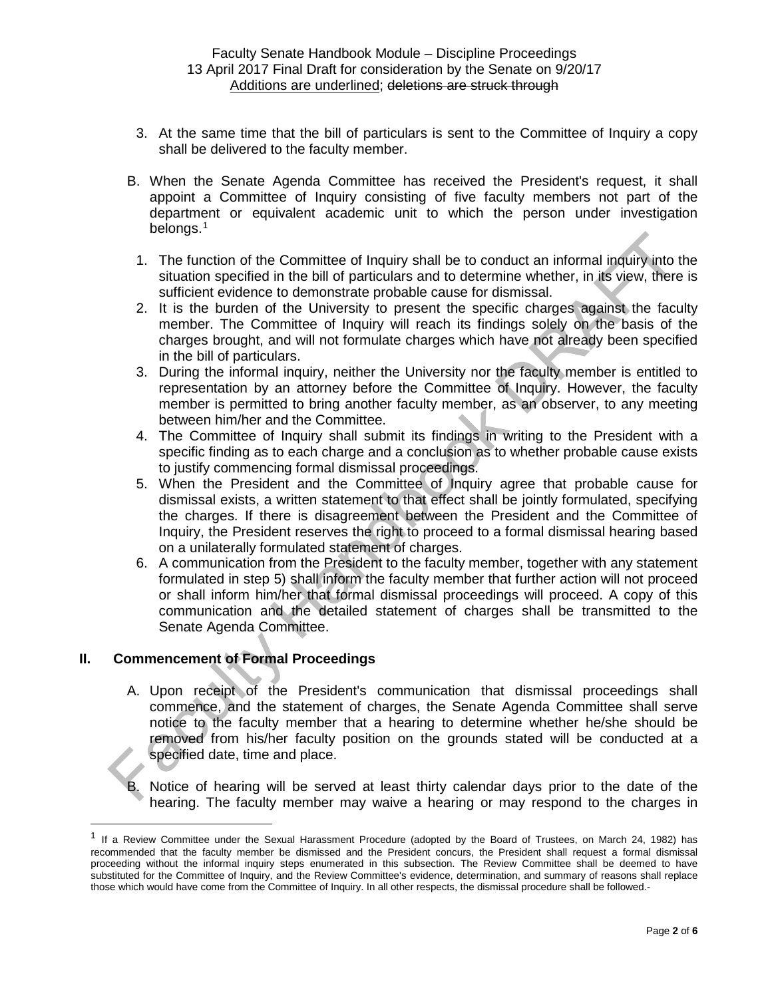- 3. At the same time that the bill of particulars is sent to the Committee of Inquiry a copy shall be delivered to the faculty member.
- B. When the Senate Agenda Committee has received the President's request, it shall appoint a Committee of Inquiry consisting of five faculty members not part of the department or equivalent academic unit to which the person under investigation belongs.<sup>[1](#page-1-0)</sup>
	- 1. The function of the Committee of Inquiry shall be to conduct an informal inquiry into the situation specified in the bill of particulars and to determine whether, in its view, there is sufficient evidence to demonstrate probable cause for dismissal.
	- 2. It is the burden of the University to present the specific charges against the faculty member. The Committee of Inquiry will reach its findings solely on the basis of the charges brought, and will not formulate charges which have not already been specified in the bill of particulars.
	- 3. During the informal inquiry, neither the University nor the faculty member is entitled to representation by an attorney before the Committee of Inquiry. However, the faculty member is permitted to bring another faculty member, as an observer, to any meeting between him/her and the Committee.
	- 4. The Committee of Inquiry shall submit its findings in writing to the President with a specific finding as to each charge and a conclusion as to whether probable cause exists to justify commencing formal dismissal proceedings.
	- 5. When the President and the Committee of Inquiry agree that probable cause for dismissal exists, a written statement to that effect shall be jointly formulated, specifying the charges. If there is disagreement between the President and the Committee of Inquiry, the President reserves the right to proceed to a formal dismissal hearing based on a unilaterally formulated statement of charges.
	- 6. A communication from the President to the faculty member, together with any statement formulated in step 5) shall inform the faculty member that further action will not proceed or shall inform him/her that formal dismissal proceedings will proceed. A copy of this communication and the detailed statement of charges shall be transmitted to the Senate Agenda Committee.

# **II. Commencement of Formal Proceedings**

- A. Upon receipt of the President's communication that dismissal proceedings shall commence, and the statement of charges, the Senate Agenda Committee shall serve notice to the faculty member that a hearing to determine whether he/she should be removed from his/her faculty position on the grounds stated will be conducted at a specified date, time and place.
- B. Notice of hearing will be served at least thirty calendar days prior to the date of the hearing. The faculty member may waive a hearing or may respond to the charges in

<span id="page-1-0"></span> $1$  If a Review Committee under the Sexual Harassment Procedure (adopted by the Board of Trustees, on March 24, 1982) has recommended that the faculty member be dismissed and the President concurs, the President shall request a formal dismissal proceeding without the informal inquiry steps enumerated in this subsection. The Review Committee shall be deemed to have substituted for the Committee of Inquiry, and the Review Committee's evidence, determination, and summary of reasons shall replace those which would have come from the Committee of Inquiry. In all other respects, the dismissal procedure shall be followed.-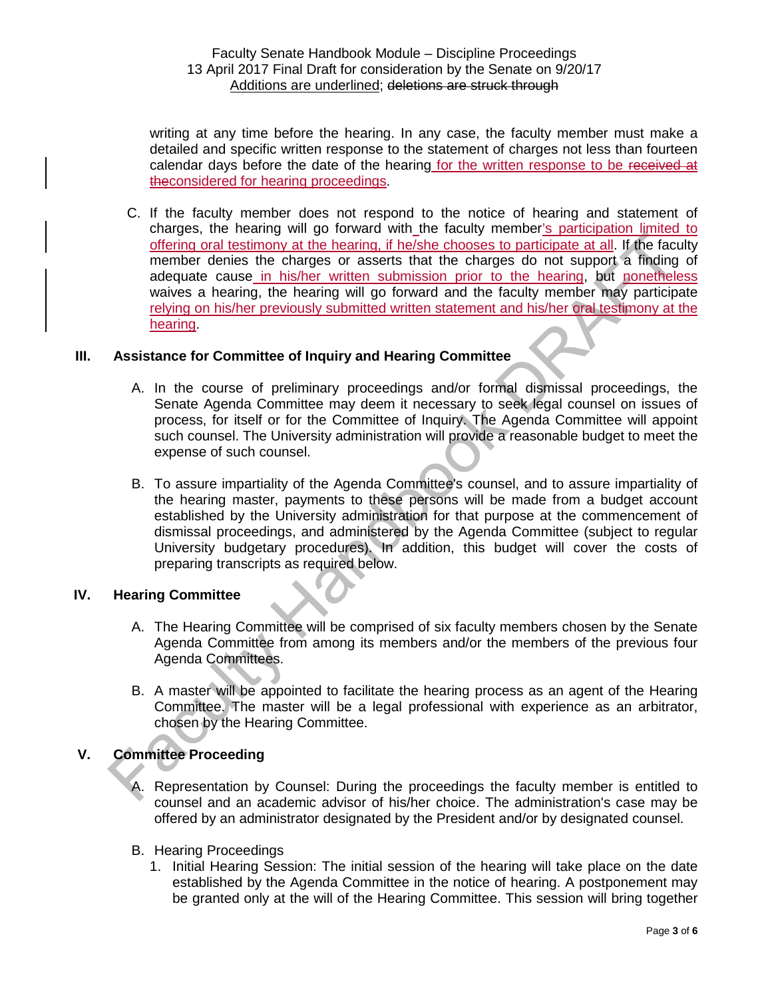writing at any time before the hearing. In any case, the faculty member must make a detailed and specific written response to the statement of charges not less than fourteen calendar days before the date of the hearing for the written response to be received at theconsidered for hearing proceedings.

C. If the faculty member does not respond to the notice of hearing and statement of charges, the hearing will go forward with the faculty member's participation limited to offering oral testimony at the hearing, if he/she chooses to participate at all. If the faculty member denies the charges or asserts that the charges do not support a finding of adequate cause in his/her written submission prior to the hearing, but nonetheless waives a hearing, the hearing will go forward and the faculty member may participate relying on his/her previously submitted written statement and his/her oral testimony at the hearing.

### **III. Assistance for Committee of Inquiry and Hearing Committee**

- A. In the course of preliminary proceedings and/or formal dismissal proceedings, the Senate Agenda Committee may deem it necessary to seek legal counsel on issues of process, for itself or for the Committee of Inquiry. The Agenda Committee will appoint such counsel. The University administration will provide a reasonable budget to meet the expense of such counsel.
- B. To assure impartiality of the Agenda Committee's counsel, and to assure impartiality of the hearing master, payments to these persons will be made from a budget account established by the University administration for that purpose at the commencement of dismissal proceedings, and administered by the Agenda Committee (subject to regular University budgetary procedures). In addition, this budget will cover the costs of preparing transcripts as required below.

#### **IV. Hearing Committee**

- A. The Hearing Committee will be comprised of six faculty members chosen by the Senate Agenda Committee from among its members and/or the members of the previous four Agenda Committees.
- B. A master will be appointed to facilitate the hearing process as an agent of the Hearing Committee. The master will be a legal professional with experience as an arbitrator, chosen by the Hearing Committee.

# **V. Committee Proceeding**

- A. Representation by Counsel: During the proceedings the faculty member is entitled to counsel and an academic advisor of his/her choice. The administration's case may be offered by an administrator designated by the President and/or by designated counsel.
- B. Hearing Proceedings
	- 1. Initial Hearing Session: The initial session of the hearing will take place on the date established by the Agenda Committee in the notice of hearing. A postponement may be granted only at the will of the Hearing Committee. This session will bring together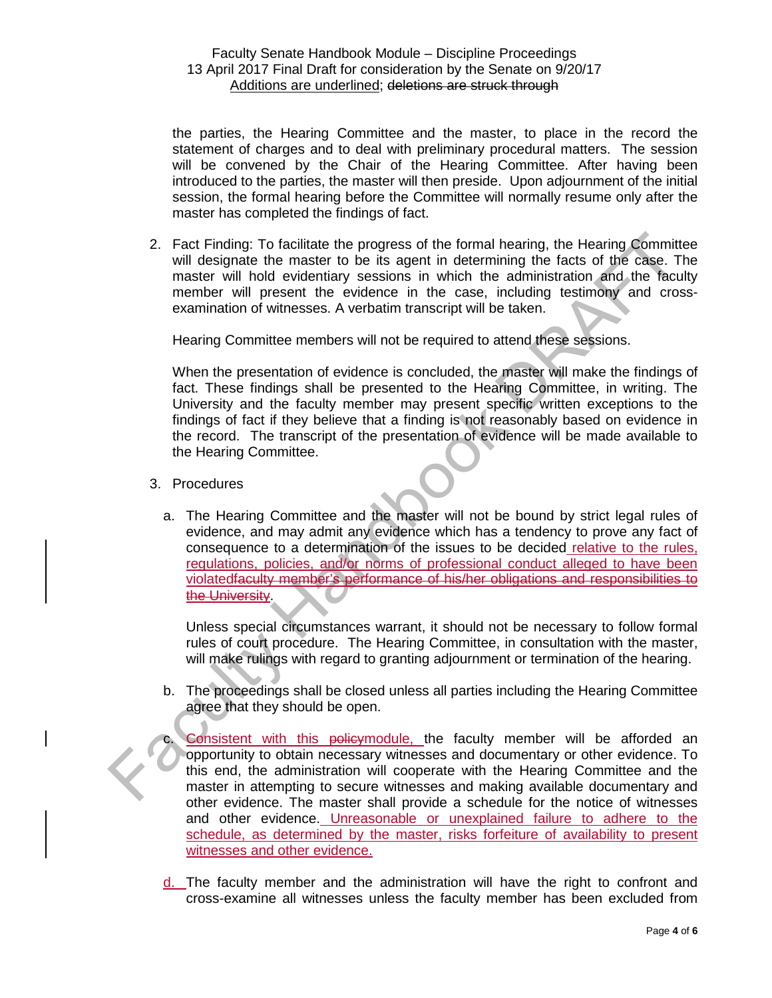the parties, the Hearing Committee and the master, to place in the record the statement of charges and to deal with preliminary procedural matters. The session will be convened by the Chair of the Hearing Committee. After having been introduced to the parties, the master will then preside. Upon adjournment of the initial session, the formal hearing before the Committee will normally resume only after the master has completed the findings of fact.

2. Fact Finding: To facilitate the progress of the formal hearing, the Hearing Committee will designate the master to be its agent in determining the facts of the case. The master will hold evidentiary sessions in which the administration and the faculty member will present the evidence in the case, including testimony and crossexamination of witnesses. A verbatim transcript will be taken.

Hearing Committee members will not be required to attend these sessions.

When the presentation of evidence is concluded, the master will make the findings of fact. These findings shall be presented to the Hearing Committee, in writing. The University and the faculty member may present specific written exceptions to the findings of fact if they believe that a finding is not reasonably based on evidence in the record. The transcript of the presentation of evidence will be made available to the Hearing Committee.

- 3. Procedures
	- a. The Hearing Committee and the master will not be bound by strict legal rules of evidence, and may admit any evidence which has a tendency to prove any fact of consequence to a determination of the issues to be decided relative to the rules, regulations, policies, and/or norms of professional conduct alleged to have been violatedfaculty member's performance of his/her obligations and responsibilities to the University.

Unless special circumstances warrant, it should not be necessary to follow formal rules of court procedure. The Hearing Committee, in consultation with the master, will make rulings with regard to granting adjournment or termination of the hearing.

- b. The proceedings shall be closed unless all parties including the Hearing Committee agree that they should be open.
	- Consistent with this policymodule, the faculty member will be afforded an opportunity to obtain necessary witnesses and documentary or other evidence. To this end, the administration will cooperate with the Hearing Committee and the master in attempting to secure witnesses and making available documentary and other evidence. The master shall provide a schedule for the notice of witnesses and other evidence. Unreasonable or unexplained failure to adhere to the schedule, as determined by the master, risks forfeiture of availability to present witnesses and other evidence.
- d. The faculty member and the administration will have the right to confront and cross-examine all witnesses unless the faculty member has been excluded from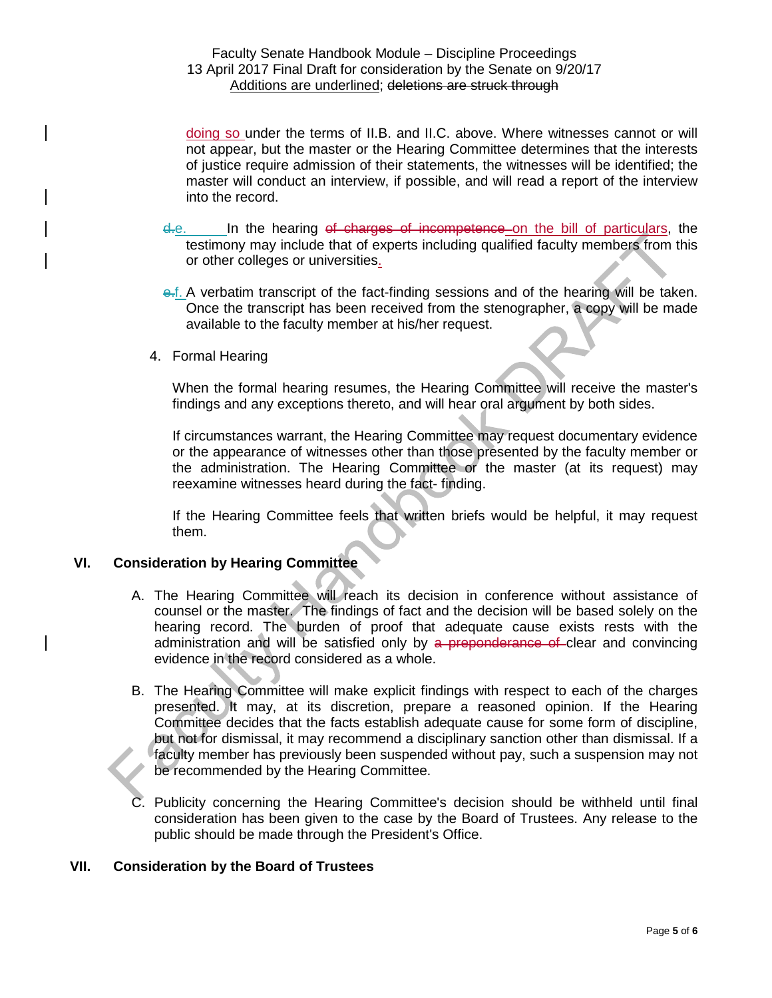doing so under the terms of II.B. and II.C. above. Where witnesses cannot or will not appear, but the master or the Hearing Committee determines that the interests of justice require admission of their statements, the witnesses will be identified; the master will conduct an interview, if possible, and will read a report of the interview into the record.

- d.e. In the hearing of charges of incompetence on the bill of particulars, the testimony may include that of experts including qualified faculty members from this or other colleges or universities.
- e.f. A verbatim transcript of the fact-finding sessions and of the hearing will be taken. Once the transcript has been received from the stenographer, a copy will be made available to the faculty member at his/her request.
- 4. Formal Hearing

When the formal hearing resumes, the Hearing Committee will receive the master's findings and any exceptions thereto, and will hear oral argument by both sides.

If circumstances warrant, the Hearing Committee may request documentary evidence or the appearance of witnesses other than those presented by the faculty member or the administration. The Hearing Committee or the master (at its request) may reexamine witnesses heard during the fact- finding.

If the Hearing Committee feels that written briefs would be helpful, it may request them.

#### **VI. Consideration by Hearing Committee**

- A. The Hearing Committee will reach its decision in conference without assistance of counsel or the master. The findings of fact and the decision will be based solely on the hearing record. The burden of proof that adequate cause exists rests with the administration and will be satisfied only by a preponderance of clear and convincing evidence in the record considered as a whole.
- B. The Hearing Committee will make explicit findings with respect to each of the charges presented. It may, at its discretion, prepare a reasoned opinion. If the Hearing Committee decides that the facts establish adequate cause for some form of discipline, but not for dismissal, it may recommend a disciplinary sanction other than dismissal. If a faculty member has previously been suspended without pay, such a suspension may not be recommended by the Hearing Committee.
- C. Publicity concerning the Hearing Committee's decision should be withheld until final consideration has been given to the case by the Board of Trustees. Any release to the public should be made through the President's Office.

### **VII. Consideration by the Board of Trustees**